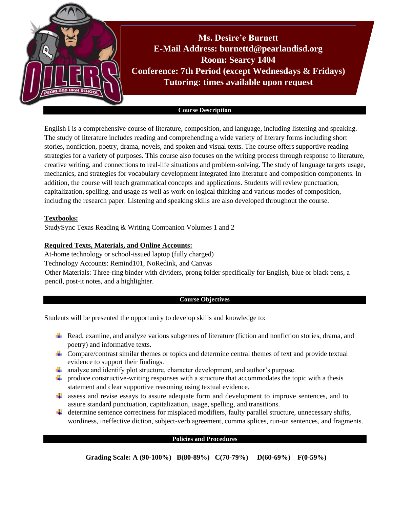

#### **Course Description**

English I is a comprehensive course of literature, composition, and language, including listening and speaking. The study of literature includes reading and comprehending a wide variety of literary forms including short stories, nonfiction, poetry, drama, novels, and spoken and visual texts. The course offers supportive reading strategies for a variety of purposes. This course also focuses on the writing process through response to literature, creative writing, and connections to real-life situations and problem-solving. The study of language targets usage, mechanics, and strategies for vocabulary development integrated into literature and composition components. In addition, the course will teach grammatical concepts and applications. Students will review punctuation, capitalization, spelling, and usage as well as work on logical thinking and various modes of composition, including the research paper. Listening and speaking skills are also developed throughout the course.

# **Textbooks:**

StudySync Texas Reading & Writing Companion Volumes 1 and 2

# **Required Texts, Materials, and Online Accounts:**

At-home technology or school-issued laptop (fully charged) Technology Accounts: Remind101, NoRedink, and Canvas Other Materials: Three-ring binder with dividers, prong folder specifically for English, blue or black pens, a pencil, post-it notes, and a highlighter.

## **Course Objectives**

Students will be presented the opportunity to develop skills and knowledge to:

- Read, examine, and analyze various subgenres of literature (fiction and nonfiction stories, drama, and poetry) and informative texts.
- Compare/contrast similar themes or topics and determine central themes of text and provide textual evidence to support their findings.
- analyze and identify plot structure, character development, and author's purpose.
- $\ddot{\phantom{a}}$  produce constructive-writing responses with a structure that accommodates the topic with a thesis statement and clear supportive reasoning using textual evidence.
- $\ddot{\bullet}$  assess and revise essays to assure adequate form and development to improve sentences, and to assure standard punctuation, capitalization, usage, spelling, and transitions.
- determine sentence correctness for misplaced modifiers, faulty parallel structure, unnecessary shifts, wordiness, ineffective diction, subject-verb agreement, comma splices, run-on sentences, and fragments.

#### **Policies and Procedures**

**Grading Scale: A (90-100%) B(80-89%) C(70-79%) D(60-69%) F(0-59%)**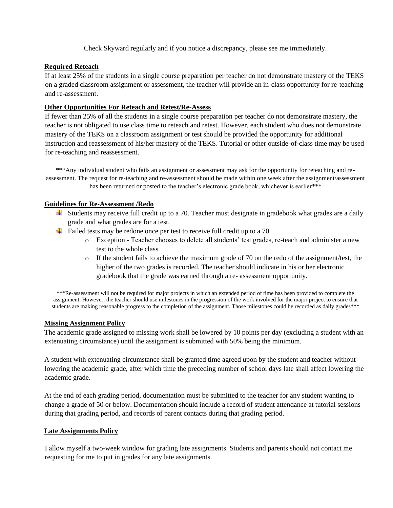Check Skyward regularly and if you notice a discrepancy, please see me immediately.

# **Required Reteach**

If at least 25% of the students in a single course preparation per teacher do not demonstrate mastery of the TEKS on a graded classroom assignment or assessment, the teacher will provide an in-class opportunity for re-teaching and re-assessment.

# **Other Opportunities For Reteach and Retest/Re-Assess**

If fewer than 25% of all the students in a single course preparation per teacher do not demonstrate mastery, the teacher is not obligated to use class time to reteach and retest. However, each student who does not demonstrate mastery of the TEKS on a classroom assignment or test should be provided the opportunity for additional instruction and reassessment of his/her mastery of the TEKS. Tutorial or other outside-of-class time may be used for re-teaching and reassessment.

\*\*\*Any individual student who fails an assignment or assessment may ask for the opportunity for reteaching and reassessment. The request for re-teaching and re-assessment should be made within one week after the assignment/assessment has been returned or posted to the teacher's electronic grade book, whichever is earlier\*\*\*

## **Guidelines for Re-Assessment /Redo**

- $\downarrow$  Students may receive full credit up to a 70. Teacher must designate in gradebook what grades are a daily grade and what grades are for a test.
- $\ddot{\text{F}}$  Failed tests may be redone once per test to receive full credit up to a 70.
	- o Exception Teacher chooses to delete all students' test grades, re-teach and administer a new test to the whole class.
	- $\circ$  If the student fails to achieve the maximum grade of 70 on the redo of the assignment/test, the higher of the two grades is recorded. The teacher should indicate in his or her electronic gradebook that the grade was earned through a re- assessment opportunity.

\*\*\*Re-assessment will not be required for major projects in which an extended period of time has been provided to complete the assignment. However, the teacher should use milestones in the progression of the work involved for the major project to ensure that students are making reasonable progress to the completion of the assignment. Those milestones could be recorded as daily grades\*\*\*

## **Missing Assignment Policy**

The academic grade assigned to missing work shall be lowered by 10 points per day (excluding a student with an extenuating circumstance) until the assignment is submitted with 50% being the minimum.

A student with extenuating circumstance shall be granted time agreed upon by the student and teacher without lowering the academic grade, after which time the preceding number of school days late shall affect lowering the academic grade.

At the end of each grading period, documentation must be submitted to the teacher for any student wanting to change a grade of 50 or below. Documentation should include a record of student attendance at tutorial sessions during that grading period, and records of parent contacts during that grading period.

## **Late Assignments Policy**

I allow myself a two-week window for grading late assignments. Students and parents should not contact me requesting for me to put in grades for any late assignments.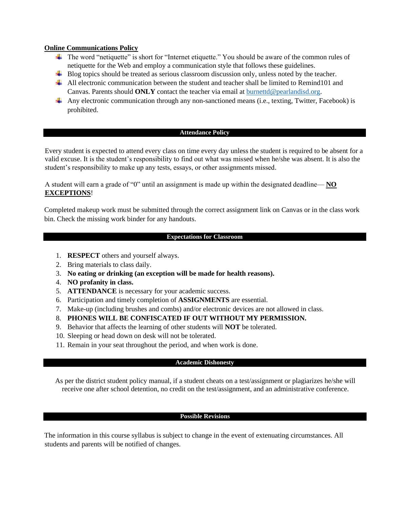## **Online Communications Policy**

- The word "netiquette" is short for "Internet etiquette." You should be aware of the common rules of netiquette for the Web and employ a communication style that follows these guidelines.
- $\overline{\phantom{a}}$  Blog topics should be treated as serious classroom discussion only, unless noted by the teacher.
- All electronic communication between the student and teacher shall be limited to Remind101 and Canvas. Parents should **ONLY** contact the teacher via email at [burnettd@pearlandisd.org.](mailto:burnettd@pearlandisd.org)
- Any electronic communication through any non-sanctioned means (i.e., texting, Twitter, Facebook) is prohibited.

## **Attendance Policy**

Every student is expected to attend every class on time every day unless the student is required to be absent for a valid excuse. It is the student's responsibility to find out what was missed when he/she was absent. It is also the student's responsibility to make up any tests, essays, or other assignments missed.

A student will earn a grade of "0" until an assignment is made up within the designated deadline— **NO EXCEPTIONS**!

Completed makeup work must be submitted through the correct assignment link on Canvas or in the class work bin. Check the missing work binder for any handouts.

## **Expectations for Classroom**

- 1. **RESPECT** others and yourself always.
- 2. Bring materials to class daily.
- 3. **No eating or drinking (an exception will be made for health reasons).**
- 4. **NO profanity in class.**
- 5. **ATTENDANCE** is necessary for your academic success.
- 6. Participation and timely completion of **ASSIGNMENTS** are essential.
- 7. Make-up (including brushes and combs) and/or electronic devices are not allowed in class.
- 8. **PHONES WILL BE CONFISCATED IF OUT WITHOUT MY PERMISSION.**
- 9. Behavior that affects the learning of other students will **NOT** be tolerated.
- 10. Sleeping or head down on desk will not be tolerated.
- 11. Remain in your seat throughout the period, and when work is done.

## **Academic Dishonesty**

As per the district student policy manual, if a student cheats on a test/assignment or plagiarizes he/she will receive one after school detention, no credit on the test/assignment, and an administrative conference.

## **Possible Revisions**

The information in this course syllabus is subject to change in the event of extenuating circumstances. All students and parents will be notified of changes.